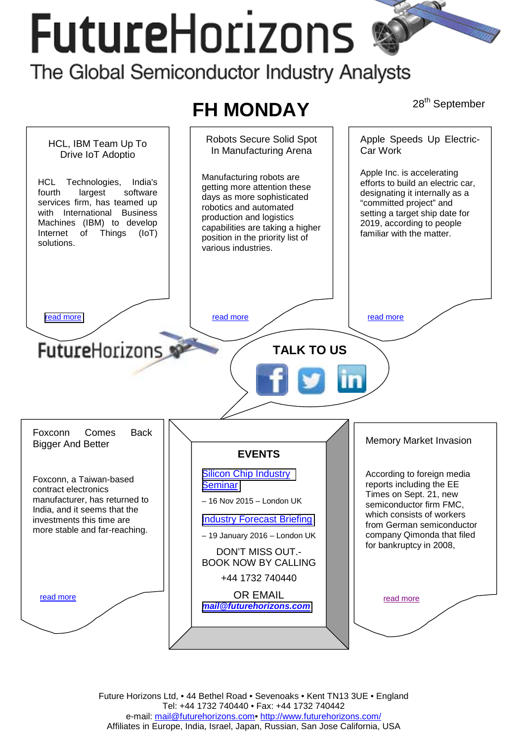# **FutureHorizons**

## The Global Semiconductor Industry Analysts

## **FH MONDAY** 28<sup>th</sup> September



Future Horizons Ltd, • 44 Bethel Road • Sevenoaks • Kent TN13 3UE • England Tel: +44 1732 740440 • Fax: +44 1732 740442 e-mail: mail@futurehorizons.com• http://www.futurehorizons.com/ Affiliates in Europe, India, Israel, Japan, Russian, San Jose California, USA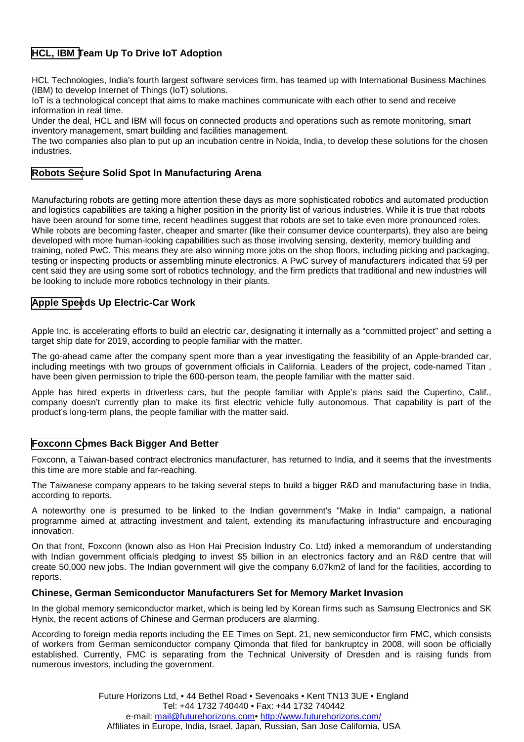### <span id="page-1-0"></span>**HCL, IBM Team Up To Drive IoT Adoption**

HCL Technologies, India's fourth largest software services firm, has teamed up with International Business Machines (IBM) to develop Internet of Things (IoT) solutions.

IoT is a technological concept that aims to make machines communicate with each other to send and receive information in real time.

Under the deal, HCL and IBM will focus on connected products and operations such as remote monitoring, smart inventory management, smart building and facilities management.

The two companies also plan to put up an incubation centre in Noida, India, to develop these solutions for the chosen industries.

#### **Robots Secure Solid Spot In Manufacturing Arena**

Manufacturing robots are getting more attention these days as more sophisticated robotics and automated production and logistics capabilities are taking a higher position in the priority list of various industries. While it is true that robots have been around for some time, recent headlines suggest that robots are set to take even more pronounced roles. While robots are becoming faster, cheaper and smarter (like their consumer device counterparts), they also are being developed with more human-looking capabilities such as those involving sensing, dexterity, memory building and training, noted PwC. This means they are also winning more jobs on the shop floors, including picking and packaging, testing or inspecting products or assembling minute electronics. A PwC survey of manufacturers indicated that 59 per cent said they are using some sort of robotics technology, and the firm predicts that traditional and new industries will be looking to include more robotics technology in their plants.

#### **Apple Speeds Up Electric-Car Work**

Apple Inc. is accelerating efforts to build an electric car, designating it internally as a "committed project" and setting a target ship date for 2019, according to people familiar with the matter.

The go-ahead came after the company spent more than a year investigating the feasibility of an Apple-branded car, including meetings with two groups of government officials in California. Leaders of the project, code-named Titan , have been given permission to triple the 600-person team, the people familiar with the matter said.

Apple has hired experts in driverless cars, but the people familiar with Apple's plans said the Cupertino, Calif., company doesn't currently plan to make its first electric vehicle fully autonomous. That capability is part of the product's long-term plans, the people familiar with the matter said.

#### **Foxconn Comes Back Bigger And Better**

Foxconn, a Taiwan-based contract electronics manufacturer, has returned to India, and it seems that the investments this time are more stable and far-reaching.

The Taiwanese company appears to be taking several steps to build a bigger R&D and manufacturing base in India, according to reports.

A noteworthy one is presumed to be linked to the Indian government's "Make in India" campaign, a national programme aimed at attracting investment and talent, extending its manufacturing infrastructure and encouraging innovation.

On that front, Foxconn (known also as Hon Hai Precision Industry Co. Ltd) inked a memorandum of understanding with Indian government officials pledging to invest \$5 billion in an electronics factory and an R&D centre that will create 50,000 new jobs. The Indian government will give the company 6.07km2 of land for the facilities, according to reports.

#### **Chinese, German Semiconductor Manufacturers Set for Memory Market Invasion**

In the global memory semiconductor market, which is being led by Korean firms such as Samsung Electronics and SK Hynix, the recent actions of Chinese and German producers are alarming.

According to foreign media reports including the EE Times on Sept. 21, new semiconductor firm FMC, which consists of workers from German semiconductor company Qimonda that filed for bankruptcy in 2008, will soon be officially established. Currently, FMC is separating from the Technical University of Dresden and is raising funds from numerous investors, including the government.